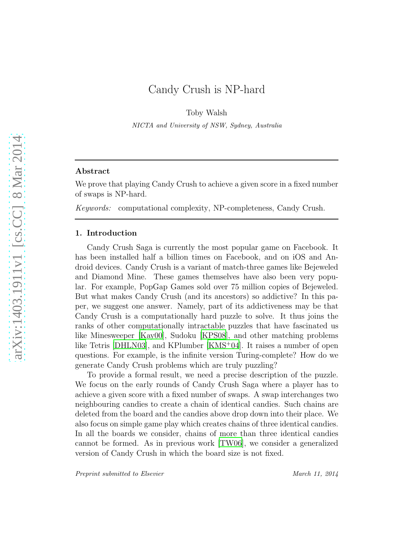# Candy Crush is NP-hard

Toby Walsh

NICTA and University of NSW, Sydney, Australia

# Abstract

We prove that playing Candy Crush to achieve a given score in a fixed number of swaps is NP-hard.

*Keywords:* computational complexity, NP-completeness, Candy Crush.

## 1. Introduction

Candy Crush Saga is currently the most popular game on Facebook. It has been installed half a billion times on Facebook, and on iOS and Android devices. Candy Crush is a variant of match-three games like Bejeweled and Diamond Mine. These games themselves have also been very popular. For example, PopGap Games sold over 75 million copies of Bejeweled. But what makes Candy Crush (and its ancestors) so addictive? In this paper, we suggest one answer. Namely, part of its addictiveness may be that Candy Crush is a computationally hard puzzle to solve. It thus joins the ranks of other computationally intractable puzzles that have fascinated us like Minesweeper [\[Kay00\]](#page-9-0), Sudoku [\[KPS08](#page-9-1)], and other matching problems like Tetris  $[DHLN03]$ , and KPlumber  $[KMS^+04]$ . It raises a number of open questions. For example, is the infinite version Turing-complete? How do we generate Candy Crush problems which are truly puzzling?

To provide a formal result, we need a precise description of the puzzle. We focus on the early rounds of Candy Crush Saga where a player has to achieve a given score with a fixed number of swaps. A swap interchanges two neighbouring candies to create a chain of identical candies. Such chains are deleted from the board and the candies above drop down into their place. We also focus on simple game play which creates chains of three identical candies. In all the boards we consider, chains of more than three identical candies cannot be formed. As in previous work [\[TW06\]](#page-9-4), we consider a generalized version of Candy Crush in which the board size is not fixed.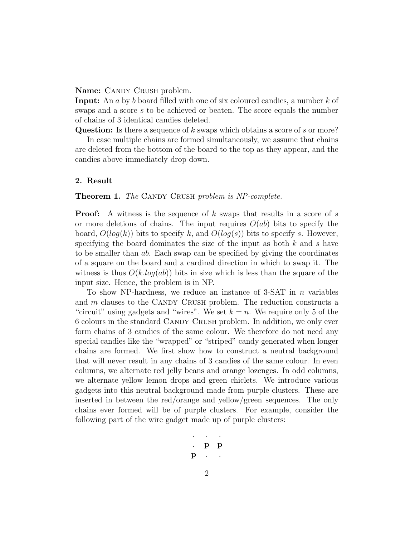Name: CANDY CRUSH problem.

Input: An a by b board filled with one of six coloured candies, a number k of swaps and a score s to be achieved or beaten. The score equals the number of chains of 3 identical candies deleted.

Question: Is there a sequence of k swaps which obtains a score of s or more?

In case multiple chains are formed simultaneously, we assume that chains are deleted from the bottom of the board to the top as they appear, and the candies above immediately drop down.

### 2. Result

Theorem 1. *The* CANDY CRUSH *problem is NP-complete.* 

**Proof:** A witness is the sequence of k swaps that results in a score of s or more deletions of chains. The input requires  $O(ab)$  bits to specify the board,  $O(log(k))$  bits to specify k, and  $O(log(s))$  bits to specify s. However, specifying the board dominates the size of the input as both  $k$  and  $s$  have to be smaller than ab. Each swap can be specified by giving the coordinates of a square on the board and a cardinal direction in which to swap it. The witness is thus  $O(k \log(ab))$  bits in size which is less than the square of the input size. Hence, the problem is in NP.

To show NP-hardness, we reduce an instance of 3-SAT in n variables and  $m$  clauses to the CANDY CRUSH problem. The reduction constructs a "circuit" using gadgets and "wires". We set  $k = n$ . We require only 5 of the 6 colours in the standard CANDY CRUSH problem. In addition, we only ever form chains of 3 candies of the same colour. We therefore do not need any special candies like the "wrapped" or "striped" candy generated when longer chains are formed. We first show how to construct a neutral background that will never result in any chains of 3 candies of the same colour. In even columns, we alternate red jelly beans and orange lozenges. In odd columns, we alternate yellow lemon drops and green chiclets. We introduce various gadgets into this neutral background made from purple clusters. These are inserted in between the red/orange and yellow/green sequences. The only chains ever formed will be of purple clusters. For example, consider the following part of the wire gadget made up of purple clusters:

$$
\begin{array}{ccccc}\n&\cdot&\cdot&\cdot\\
&p&p\\
p&\cdot&\cdot\end{array}
$$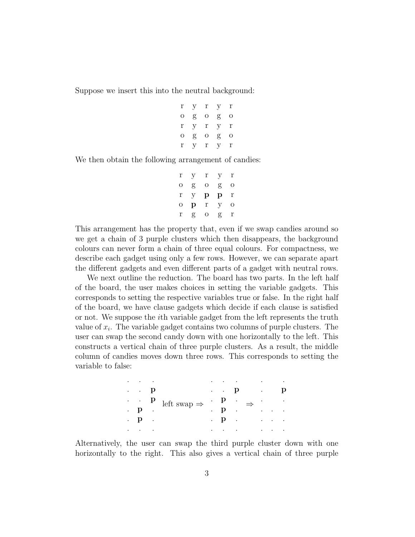Suppose we insert this into the neutral background:

r y r y r o g o g o r y r y r o g o g o r y r y r

We then obtain the following arrangement of candies:

| r | У | r | У | r |
|---|---|---|---|---|
| О | g | О | g | О |
| r | У | р | р | r |
| O | р | r | У | О |
| r | g | O | g | r |

This arrangement has the property that, even if we swap candies around so we get a chain of 3 purple clusters which then disappears, the background colours can never form a chain of three equal colours. For compactness, we describe each gadget using only a few rows. However, we can separate apart the different gadgets and even different parts of a gadget with neutral rows.

We next outline the reduction. The board has two parts. In the left half of the board, the user makes choices in setting the variable gadgets. This corresponds to setting the respective variables true or false. In the right half of the board, we have clause gadgets which decide if each clause is satisfied or not. We suppose the ith variable gadget from the left represents the truth value of  $x_i$ . The variable gadget contains two columns of purple clusters. The user can swap the second candy down with one horizontally to the left. This constructs a vertical chain of three purple clusters. As a result, the middle column of candies moves down three rows. This corresponds to setting the variable to false:

| $\cdot$              | $\sim$ |        |                                                                                                                                                                                  |           | $\bullet \qquad \bullet \qquad \bullet \qquad \bullet$ |  | the control of the control of the                         |                                                                                 |   |
|----------------------|--------|--------|----------------------------------------------------------------------------------------------------------------------------------------------------------------------------------|-----------|--------------------------------------------------------|--|-----------------------------------------------------------|---------------------------------------------------------------------------------|---|
|                      | . . р  |        | $\begin{array}{ccccccc}\n\cdot & & {\bf p} & & {\rm left \; swap} \Rightarrow & & {\bf p} & & \Rightarrow & \cdot \\ \cdot & {\bf p} & & \cdot & & {\bf p} & \cdot\n\end{array}$ |           |                                                        |  | $\mathbf{p}$ . $\mathbf{p}$ .                             |                                                                                 | р |
|                      |        |        |                                                                                                                                                                                  |           |                                                        |  |                                                           | $\mathcal{L}_{\text{max}}$ , $\mathcal{L}_{\text{max}}$                         |   |
|                      |        |        |                                                                                                                                                                                  |           |                                                        |  |                                                           | $\sim 10$ $\sim$                                                                |   |
|                      | . р.   |        |                                                                                                                                                                                  |           |                                                        |  | $\mathbf{p}$ , $\mathbf{p}$ , $\mathbf{p}$ , $\mathbf{p}$ |                                                                                 |   |
| $\ddot{\phantom{0}}$ | $\sim$ | $\sim$ |                                                                                                                                                                                  | $\bullet$ | <b>Contract Contract</b>                               |  | <b>Contractor</b>                                         | $\mathcal{L}(\mathbf{r},\mathbf{r})$ , and $\mathcal{L}(\mathbf{r},\mathbf{r})$ |   |

Alternatively, the user can swap the third purple cluster down with one horizontally to the right. This also gives a vertical chain of three purple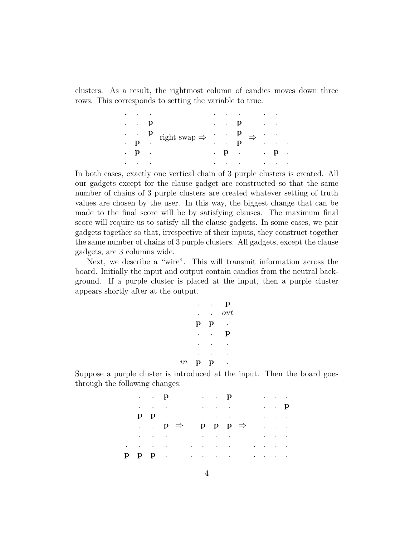clusters. As a result, the rightmost column of candies moves down three rows. This corresponds to setting the variable to true.

| $\bullet$            | ٠                                               | ٠ |                                                                                                             | ٠         |                | $\bullet$ |                                                                       | $\cdot$ | $\bullet$    |                         |
|----------------------|-------------------------------------------------|---|-------------------------------------------------------------------------------------------------------------|-----------|----------------|-----------|-----------------------------------------------------------------------|---------|--------------|-------------------------|
|                      | $\cdot$ $\cdot$ $\cdot$ $\cdot$ $\cdot$ $\cdot$ |   | $\begin{pmatrix} \mathbf{p} & \mathbf{p} \\ \mathbf{p} & \mathbf{p} \end{pmatrix}$ right swap $\Rightarrow$ | $\bullet$ |                |           | $\cdot$ p.<br>$\cdot$ $\cdot$ $\cdot$ $\cdot$ $\cdot$ $\cdot$ $\cdot$ |         | $\sim$       |                         |
|                      |                                                 |   |                                                                                                             |           |                |           |                                                                       |         |              |                         |
|                      |                                                 |   |                                                                                                             | $\bullet$ | $\blacksquare$ | p         |                                                                       | ٠       | $\bullet$    | $\bullet$               |
| $\ddot{\phantom{0}}$ | $\mathbf{p}$ .                                  |   |                                                                                                             |           |                |           | $\mathbf{p}$                                                          |         | $\mathbf{p}$ | $\mathcal{L}_{\bullet}$ |
| ٠                    | ٠                                               | ٠ |                                                                                                             | ٠         |                | ٠         |                                                                       | ٠       | ٠            | $\bullet$               |

In both cases, exactly one vertical chain of 3 purple clusters is created. All our gadgets except for the clause gadget are constructed so that the same number of chains of 3 purple clusters are created whatever setting of truth values are chosen by the user. In this way, the biggest change that can be made to the final score will be by satisfying clauses. The maximum final score will require us to satisfy all the clause gadgets. In some cases, we pair gadgets together so that, irrespective of their inputs, they construct together the same number of chains of 3 purple clusters. All gadgets, except the clause gadgets, are 3 columns wide.

Next, we describe a "wire". This will transmit information across the board. Initially the input and output contain candies from the neutral background. If a purple cluster is placed at the input, then a purple cluster appears shortly after at the output.

$$
\begin{array}{cccc}\n & \cdot & \cdot & \mathbf{p} \\
 & \cdot & \cdot & out \\
 & \mathbf{p} & \mathbf{p} & \cdot \\
 & \cdot & \cdot & \mathbf{p} \\
 & \cdot & \cdot & \cdot \\
 & \cdot & \cdot & \cdot \\
 & \cdot & \cdot & \cdot \\
 & \cdot & \cdot & \cdot \\
 & \cdot & \cdot & \cdot \\
 & \cdot & \cdot & \cdot \\
 & \cdot & \cdot & \cdot \\
 & \cdot & \cdot & \cdot \\
 & \cdot & \cdot & \cdot \\
 & \cdot & \cdot & \cdot \\
 & \cdot & \cdot & \cdot \\
 & \cdot & \cdot & \cdot \\
 & \cdot & \cdot & \cdot \\
 & \cdot & \cdot & \cdot \\
 & \cdot & \cdot & \cdot \\
 & \cdot & \cdot & \cdot & \cdot \\
 & \cdot & \cdot & \cdot & \cdot \\
 & \cdot & \cdot & \cdot & \cdot \\
 & \cdot & \cdot & \cdot & \cdot \\
 & \cdot & \cdot & \cdot & \cdot \\
 & \cdot & \cdot & \cdot & \cdot \\
 & \cdot & \cdot & \cdot & \cdot \\
 & \cdot & \cdot & \cdot & \cdot & \cdot \\
 & \cdot & \cdot & \cdot & \cdot & \cdot \\
 & \cdot & \cdot & \cdot & \cdot & \cdot \\
 & \cdot & \cdot & \cdot & \cdot & \cdot \\
 & \cdot & \cdot & \cdot & \cdot & \cdot \\
 & \cdot & \cdot & \cdot & \cdot & \cdot \\
 & \cdot & \cdot & \cdot & \cdot & \cdot & \cdot \\
 & \cdot & \cdot & \cdot & \cdot & \cdot & \cdot \\
 & \cdot & \cdot & \cdot & \cdot & \cdot & \cdot \\
 & \cdot & \cdot & \cdot & \cdot & \cdot & \cdot \\
 & \cdot & \cdot & \cdot & \cdot & \cdot & \cdot & \cdot \\
 & \cdot & \cdot & \cdot & \cdot & \cdot & \cdot & \cdot \\
 & \cdot & \cdot & \cdot & \cdot & \cdot & \cdot & \cdot \\
 & \cdot & \cdot & \cdot & \cdot & \cdot & \cdot & \cdot \\
 & \cdot & \cdot & \cdot & \cdot & \cdot & \cdot & \cdot \\
 & \cdot & \cdot & \cdot & \cdot & \cdot & \cdot & \cdot \\
 & \cdot & \cdot & \cdot & \cdot & \cdot & \cdot & \cdot \\
 & \cdot & \cdot & \cdot & \cdot & \cdot & \cdot & \cdot \\
 & \cdot & \cdot & \cdot & \cdot & \cdot & \cdot & \cdot \\
 & \cdot & \cdot & \cdot & \cdot & \cdot & \cdot & \cdot \\
 & \cdot & \cdot & \cdot & \cdot & \cdot & \cdot & \cdot \\
 & \cdot & \cdot & \cdot & \cdot & \cdot & \cdot & \cdot & \cdot \\
 & \cdot & \cdot & \cdot & \cdot & \cdot & \
$$

Suppose a purple cluster is introduced at the input. Then the board goes through the following changes:

|               | $\cdot$ $\cdot$ $\cdot$ $\cdot$ $\cdot$ $\cdot$                    |  |  | $\cdot$ $\cdot$ $\cdot$ $\cdot$ $\cdot$                                                      |                                                                                                                               |                                                                              | $\mathbf{r} = \left\{ \mathbf{r}_1, \ldots, \mathbf{r}_N \right\}$ |  |
|---------------|--------------------------------------------------------------------|--|--|----------------------------------------------------------------------------------------------|-------------------------------------------------------------------------------------------------------------------------------|------------------------------------------------------------------------------|--------------------------------------------------------------------|--|
|               | $\mathbf{r} = \left\{ \mathbf{r}_1, \ldots, \mathbf{r}_N \right\}$ |  |  | $\mathbf{r} = \left\{ \mathbf{r}_1, \ldots, \mathbf{r}_n \right\}$                           |                                                                                                                               |                                                                              | . . р                                                              |  |
|               | $p p$ .                                                            |  |  | $\mathbf{r} = \left\{ \mathbf{r} \in \mathbb{R}^d \mid \mathbf{r} \in \mathbb{R}^d \right\}$ |                                                                                                                               |                                                                              | $\mathbf{r} = \left\{ \mathbf{r}_1, \ldots, \mathbf{r}_n \right\}$ |  |
|               | $\cdot$ $\cdot$ $\cdot$ $\cdot$ $\Rightarrow$                      |  |  | $p$ $p$ $p \Rightarrow$                                                                      |                                                                                                                               | $\mathcal{L}(\mathcal{A})=\mathcal{L}(\mathcal{A})=\mathcal{L}(\mathcal{A})$ |                                                                    |  |
|               |                                                                    |  |  |                                                                                              | $\mathcal{O}(\mathcal{O}(n^2))$ . The contribution of the contribution of the contribution of $\mathcal{O}(\mathcal{O}(n^2))$ |                                                                              |                                                                    |  |
|               |                                                                    |  |  |                                                                                              | $\alpha$ , and the contribution of the contribution of the contribution of the contribution of                                |                                                                              |                                                                    |  |
| $p$ $p$ $p$ . |                                                                    |  |  |                                                                                              | $\mathcal{A}^{\mathcal{A}}$ . The contribution of the contribution of the contribution of $\mathcal{A}^{\mathcal{A}}$         |                                                                              |                                                                    |  |

 $\mathbf p$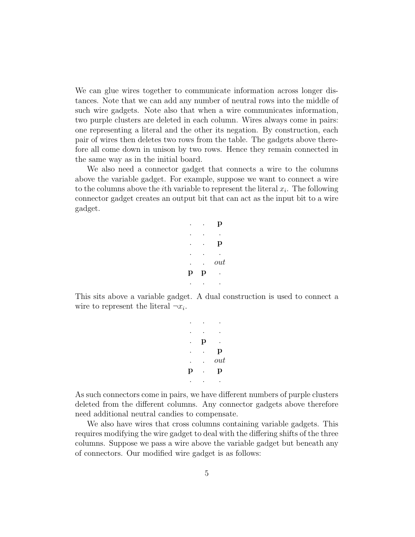We can glue wires together to communicate information across longer distances. Note that we can add any number of neutral rows into the middle of such wire gadgets. Note also that when a wire communicates information, two purple clusters are deleted in each column. Wires always come in pairs: one representing a literal and the other its negation. By construction, each pair of wires then deletes two rows from the table. The gadgets above therefore all come down in unison by two rows. Hence they remain connected in the same way as in the initial board.

We also need a connector gadget that connects a wire to the columns above the variable gadget. For example, suppose we want to connect a wire to the columns above the *i*th variable to represent the literal  $x_i$ . The following connector gadget creates an output bit that can act as the input bit to a wire gadget.

|   |   | р   |
|---|---|-----|
|   |   |     |
|   |   | p   |
|   |   |     |
|   |   | out |
| p | p |     |
|   |   |     |

This sits above a variable gadget. A dual construction is used to connect a wire to represent the literal  $\neg x_i$ .

> . . . . . .  $\mathbf p$ . . p . . out p . p . . .

As such connectors come in pairs, we have different numbers of purple clusters deleted from the different columns. Any connector gadgets above therefore need additional neutral candies to compensate.

We also have wires that cross columns containing variable gadgets. This requires modifying the wire gadget to deal with the differing shifts of the three columns. Suppose we pass a wire above the variable gadget but beneath any of connectors. Our modified wire gadget is as follows: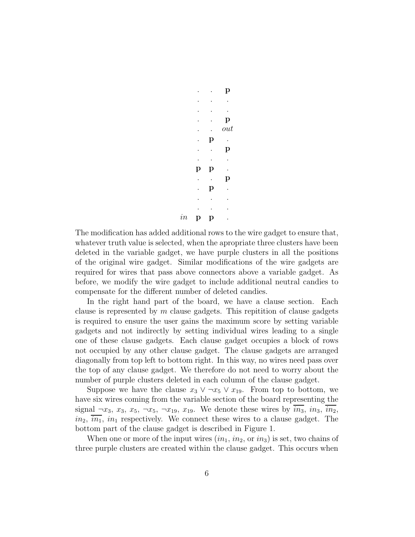$$
\begin{array}{ccccccc}\n & & & & p \\
 & & \cdot & & \cdot & p \\
 & & \cdot & & \cdot & p \\
 & & p & & \cdot & p \\
 & & p & p & & \cdot \\
 & & & p & p & & \cdot \\
 & & & & p & p & & \cdot\n\end{array}
$$

The modification has added additional rows to the wire gadget to ensure that, whatever truth value is selected, when the apropriate three clusters have been deleted in the variable gadget, we have purple clusters in all the positions of the original wire gadget. Similar modifications of the wire gadgets are required for wires that pass above connectors above a variable gadget. As before, we modify the wire gadget to include additional neutral candies to compensate for the different number of deleted candies.

 $in$ 

In the right hand part of the board, we have a clause section. Each clause is represented by  $m$  clause gadgets. This repitition of clause gadgets is required to ensure the user gains the maximum score by setting variable gadgets and not indirectly by setting individual wires leading to a single one of these clause gadgets. Each clause gadget occupies a block of rows not occupied by any other clause gadget. The clause gadgets are arranged diagonally from top left to bottom right. In this way, no wires need pass over the top of any clause gadget. We therefore do not need to worry about the number of purple clusters deleted in each column of the clause gadget.

Suppose we have the clause  $x_3 \vee \neg x_5 \vee x_{19}$ . From top to bottom, we have six wires coming from the variable section of the board representing the signal  $\neg x_3, x_3, x_5, \neg x_5, \neg x_{19}, x_{19}$ . We denote these wires by  $in_3$ ,  $in_3$ ,  $in_2$ ,  $in_2$ ,  $in_1$ ,  $in_1$  respectively. We connect these wires to a clause gadget. The bottom part of the clause gadget is described in Figure 1.

When one or more of the input wires  $(in_1, in_2, \text{or } in_3)$  is set, two chains of three purple clusters are created within the clause gadget. This occurs when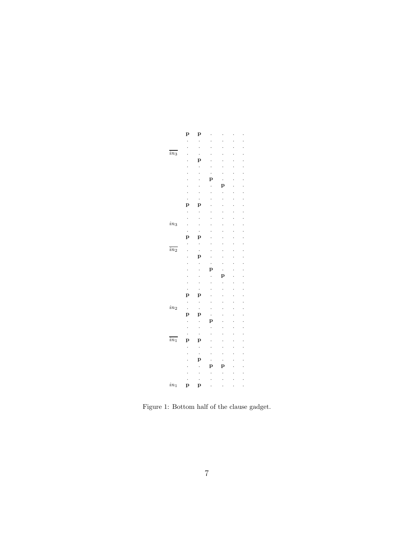

Figure 1: Bottom half of the clause gadget.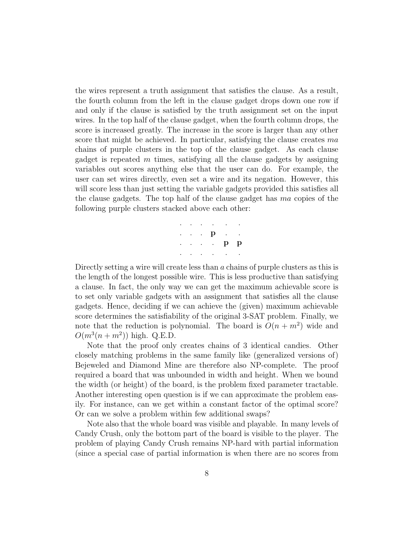the wires represent a truth assignment that satisfies the clause. As a result, the fourth column from the left in the clause gadget drops down one row if and only if the clause is satisfied by the truth assignment set on the input wires. In the top half of the clause gadget, when the fourth column drops, the score is increased greatly. The increase in the score is larger than any other score that might be achieved. In particular, satisfying the clause creates ma chains of purple clusters in the top of the clause gadget. As each clause gadget is repeated  $m$  times, satisfying all the clause gadgets by assigning variables out scores anything else that the user can do. For example, the user can set wires directly, even set a wire and its negation. However, this will score less than just setting the variable gadgets provided this satisfies all the clause gadgets. The top half of the clause gadget has ma copies of the following purple clusters stacked above each other:

|  | $\mathcal{L}^{\mathcal{A}}$ , $\mathcal{L}^{\mathcal{A}}$ , $\mathcal{L}^{\mathcal{A}}$ , $\mathcal{L}^{\mathcal{A}}$ , $\mathcal{L}^{\mathcal{A}}$ , $\mathcal{L}^{\mathcal{A}}$ , $\mathcal{L}^{\mathcal{A}}$ |  |
|--|-----------------------------------------------------------------------------------------------------------------------------------------------------------------------------------------------------------------|--|
|  | $\begin{array}{cccccccccccccc} . & . & . & . & \mathbf{p} & . & . & . \end{array}$                                                                                                                              |  |
|  | $\begin{array}{cccccccccccccc} . & . & . & . & . & \mathbf{p} & \mathbf{p} \end{array}$                                                                                                                         |  |
|  | $\mathcal{L}^{\mathcal{A}}$ , $\mathcal{L}^{\mathcal{A}}$ , $\mathcal{L}^{\mathcal{A}}$ , $\mathcal{L}^{\mathcal{A}}$ , $\mathcal{L}^{\mathcal{A}}$ , $\mathcal{L}^{\mathcal{A}}$                               |  |

Directly setting a wire will create less than a chains of purple clusters as this is the length of the longest possible wire. This is less productive than satisfying a clause. In fact, the only way we can get the maximum achievable score is to set only variable gadgets with an assignment that satisfies all the clause gadgets. Hence, deciding if we can achieve the (given) maximum achievable score determines the satisfiability of the original 3-SAT problem. Finally, we note that the reduction is polynomial. The board is  $O(n + m^2)$  wide and  $O(m^3(n + m^2))$  high. Q.E.D.

Note that the proof only creates chains of 3 identical candies. Other closely matching problems in the same family like (generalized versions of) Bejeweled and Diamond Mine are therefore also NP-complete. The proof required a board that was unbounded in width and height. When we bound the width (or height) of the board, is the problem fixed parameter tractable. Another interesting open question is if we can approximate the problem easily. For instance, can we get within a constant factor of the optimal score? Or can we solve a problem within few additional swaps?

Note also that the whole board was visible and playable. In many levels of Candy Crush, only the bottom part of the board is visible to the player. The problem of playing Candy Crush remains NP-hard with partial information (since a special case of partial information is when there are no scores from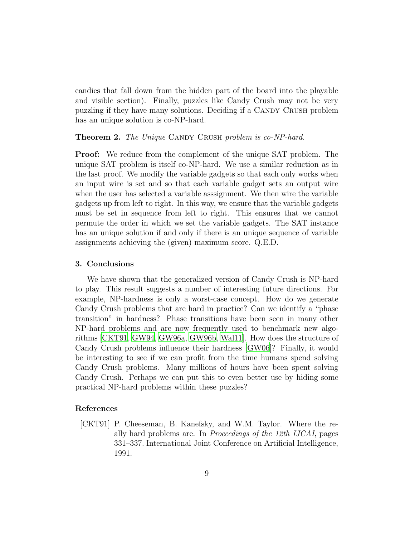candies that fall down from the hidden part of the board into the playable and visible section). Finally, puzzles like Candy Crush may not be very puzzling if they have many solutions. Deciding if a CANDY CRUSH problem has an unique solution is co-NP-hard.

#### **Theorem 2.** *The Unique* CANDY CRUSH *problem is co-NP-hard.*

Proof: We reduce from the complement of the unique SAT problem. The unique SAT problem is itself co-NP-hard. We use a similar reduction as in the last proof. We modify the variable gadgets so that each only works when an input wire is set and so that each variable gadget sets an output wire when the user has selected a variable asssignment. We then wire the variable gadgets up from left to right. In this way, we ensure that the variable gadgets must be set in sequence from left to right. This ensures that we cannot permute the order in which we set the variable gadgets. The SAT instance has an unique solution if and only if there is an unique sequence of variable assignments achieving the (given) maximum score. Q.E.D.

#### 3. Conclusions

We have shown that the generalized version of Candy Crush is NP-hard to play. This result suggests a number of interesting future directions. For example, NP-hardness is only a worst-case concept. How do we generate Candy Crush problems that are hard in practice? Can we identify a "phase transition" in hardness? Phase transitions have been seen in many other NP-hard problems and are now frequently used to benchmark new algorithms [\[CKT91](#page-8-0), [GW94,](#page-9-5) [GW96a](#page-9-6), [GW96b](#page-9-7), [Wal11\]](#page-9-8). How does the structure of Candy Crush problems influence their hardness [\[GW06\]](#page-9-9)? Finally, it would be interesting to see if we can profit from the time humans spend solving Candy Crush problems. Many millions of hours have been spent solving Candy Crush. Perhaps we can put this to even better use by hiding some practical NP-hard problems within these puzzles?

### References

<span id="page-8-0"></span>[CKT91] P. Cheeseman, B. Kanefsky, and W.M. Taylor. Where the really hard problems are. In *Proceedings of the 12th IJCAI*, pages 331–337. International Joint Conference on Artificial Intelligence, 1991.